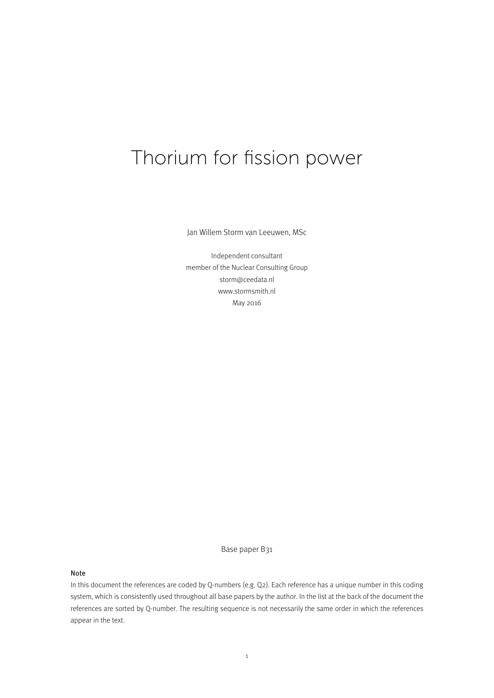# Thorium for fission power

Jan Willem Storm van Leeuwen, MSc

Independent consultant member of the Nuclear Consulting Group storm@ceedata.nl www.stormsmith.nl May 2016

Base paper B31

#### Note

In this document the references are coded by Q-numbers (e.g. Q2). Each reference has a unique number in this coding system, which is consistently used throughout all base papers by the author. In the list at the back of the document the references are sorted by Q-number. The resulting sequence is not necessarily the same order in which the references appear in the text.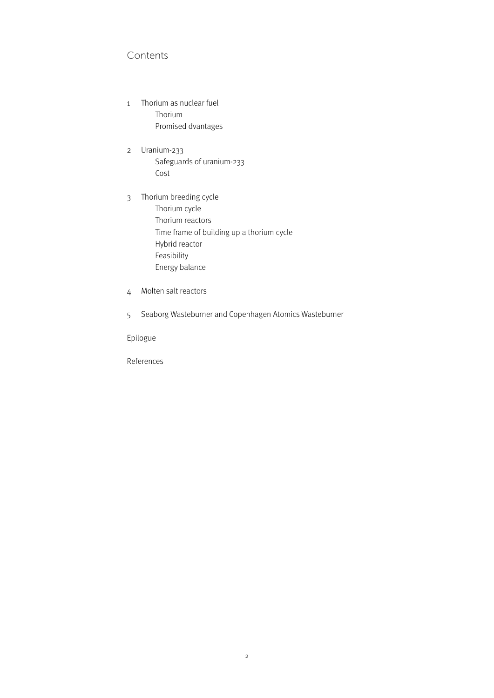# Contents

- 1 Thorium as nuclear fuel Thorium Promised dvantages
- 2 Uranium-233 Safeguards of uranium-233 Cost
- 3 Thorium breeding cycle Thorium cycle Thorium reactors Time frame of building up a thorium cycle Hybrid reactor Feasibility Energy balance
- 4 Molten salt reactors
- 5 Seaborg Wasteburner and Copenhagen Atomics Wasteburner

Epilogue

References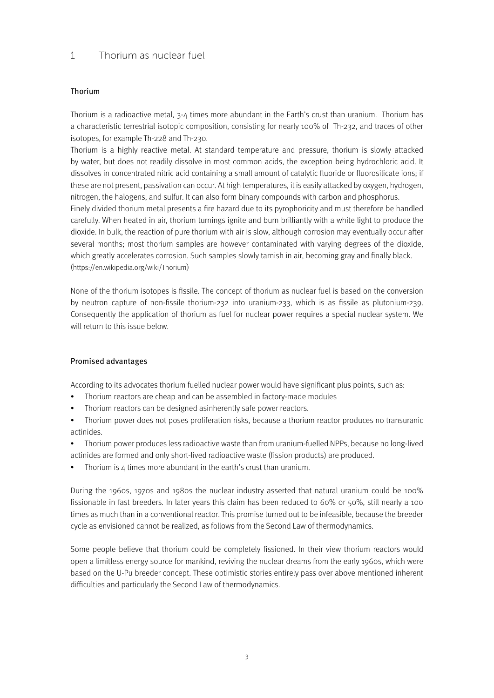# 1 Thorium as nuclear fuel

## Thorium

Thorium is a radioactive metal, 3-4 times more abundant in the Earth's crust than uranium. Thorium has a characteristic terrestrial isotopic composition, consisting for nearly 100% of Th-232, and traces of other isotopes, for example Th-228 and Th-230.

Thorium is a highly reactive metal. At standard temperature and pressure, thorium is slowly attacked by water, but does not readily dissolve in most common acids, the exception being hydrochloric acid. It dissolves in concentrated nitric acid containing a small amount of catalytic fluoride or fluorosilicate ions; if these are not present, passivation can occur. At high temperatures, it is easily attacked by oxygen, hydrogen, nitrogen, the halogens, and sulfur. It can also form binary compounds with carbon and phosphorus. Finely divided thorium metal presents a fire hazard due to its pyrophoricity and must therefore be handled

carefully. When heated in air, thorium turnings ignite and burn brilliantly with a white light to produce the dioxide. In bulk, the reaction of pure thorium with air is slow, although corrosion may eventually occur after several months; most thorium samples are however contaminated with varying degrees of the dioxide, which greatly accelerates corrosion. Such samples slowly tarnish in air, becoming gray and finally black. (https://en.wikipedia.org/wiki/Thorium)

None of the thorium isotopes is fissile. The concept of thorium as nuclear fuel is based on the conversion by neutron capture of non-fissile thorium-232 into uranium-233, which is as fissile as plutonium-239. Consequently the application of thorium as fuel for nuclear power requires a special nuclear system. We will return to this issue below.

#### Promised advantages

According to its advocates thorium fuelled nuclear power would have significant plus points, such as:

- Thorium reactors are cheap and can be assembled in factory-made modules
- Thorium reactors can be designed asinherently safe power reactors.
- Thorium power does not poses proliferation risks, because a thorium reactor produces no transuranic actinides.
- Thorium power produces less radioactive waste than from uranium-fuelled NPPs, because no long-lived actinides are formed and only short-lived radioactive waste (fission products) are produced.
- Thorium is 4 times more abundant in the earth's crust than uranium.

During the 1960s, 1970s and 1980s the nuclear industry asserted that natural uranium could be 100% fissionable in fast breeders. In later years this claim has been reduced to 60% 0r 50%, still nearly a 100 times as much than in a conventional reactor. This promise turned out to be infeasible, because the breeder cycle as envisioned cannot be realized, as follows from the Second Law of thermodynamics.

Some people believe that thorium could be completely fissioned. In their view thorium reactors would open a limitless energy source for mankind, reviving the nuclear dreams from the early 1960s, which were based on the U-Pu breeder concept. These optimistic stories entirely pass over above mentioned inherent difficulties and particularly the Second Law of thermodynamics.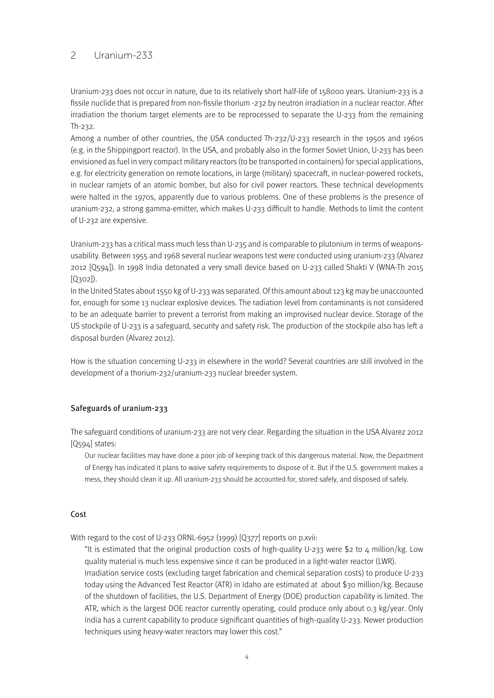## 2 Uranium-233

Uranium-233 does not occur in nature, due to its relatively short half-life of 158000 years. Uranium-233 is a fissile nuclide that is prepared from non-fissile thorium -232 by neutron irradiation in a nuclear reactor. After irradiation the thorium target elements are to be reprocessed to separate the U-233 from the remaining Th-232.

Among a number of other countries, the USA conducted Th-232/U-233 research in the 1950s and 1960s (e.g. in the Shippingport reactor). In the USA, and probably also in the former Soviet Union, U-233 has been envisioned as fuel in very compact military reactors (to be transported in containers) for special applications, e.g. for electricity generation on remote locations, in large (military) spacecraft, in nuclear-powered rockets, in nuclear ramjets of an atomic bomber, but also for civil power reactors. These technical developments were halted in the 1970s, apparently due to various problems. One of these problems is the presence of uranium-232, a strong gamma-emitter, which makes U-233 difficult to handle. Methods to limit the content of U-232 are expensive.

Uranium-233 has a critical mass much less than U-235 and is comparable to plutonium in terms of weaponsusability. Between 1955 and 1968 several nuclear weapons test were conducted using uranium-233 (Alvarez 2012 [Q594]). In 1998 India detonated a very small device based on U-233 called Shakti V (WNA-Th 2015 [Q302]).

In the United States about 1550 kg of U-233 was separated. Of this amount about 123 kg may be unaccounted for, enough for some 13 nuclear explosive devices. The radiation level from contaminants is not considered to be an adequate barrier to prevent a terrorist from making an improvised nuclear device. Storage of the US stockpile of U-233 is a safeguard, security and safety risk. The production of the stockpile also has left a disposal burden (Alvarez 2012).

How is the situation concerning U-233 in elsewhere in the world? Several countries are still involved in the development of a thorium-232/uranium-233 nuclear breeder system.

#### Safeguards of uranium-233

The safeguard conditions of uranium-233 are not very clear. Regarding the situation in the USA Alvarez 2012 [Q594] states:

Our nuclear facilities may have done a poor job of keeping track of this dangerous material. Now, the Department of Energy has indicated it plans to waive safety requirements to dispose of it. But if the U.S. government makes a mess, they should clean it up. All uranium-233 should be accounted for, stored safely, and disposed of safely.

#### Cost

With regard to the cost of U-233 ORNL-6952 (1999) [Q377] reports on p.xvii:

"It is estimated that the original production costs of high-quality U-233 were \$2 to 4 million/kg. Low quality material is much less expensive since it can be produced in a light-water reactor (LWR). Irradiation service costs (excluding target fabrication and chemical separation costs) to produce U-233 today using the Advanced Test Reactor (ATR) in Idaho are estimated at about \$30 million/kg. Because of the shutdown of facilities, the U.S. Department of Energy (DOE) production capability is limited. The ATR, which is the largest DOE reactor currently operating, could produce only about 0.3 kg/year. Only India has a current capability to produce significant quantities of high-quality U-233. Newer production techniques using heavy-water reactors may lower this cost."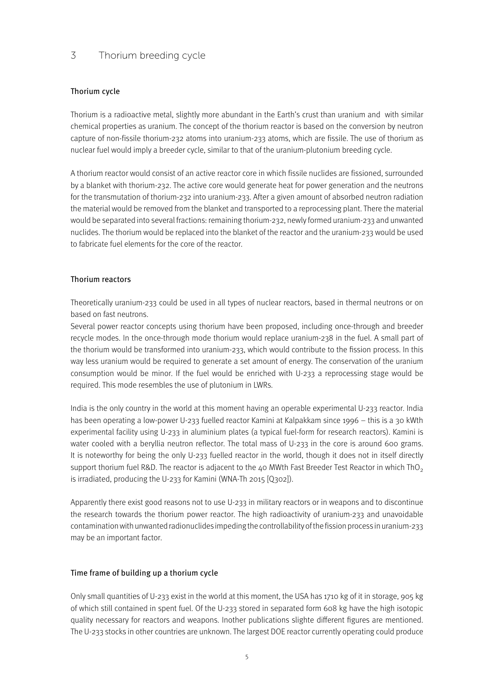# 3 Thorium breeding cycle

## Thorium cycle

Thorium is a radioactive metal, slightly more abundant in the Earth's crust than uranium and with similar chemical properties as uranium. The concept of the thorium reactor is based on the conversion by neutron capture of non-fissile thorium-232 atoms into uranium-233 atoms, which are fissile. The use of thorium as nuclear fuel would imply a breeder cycle, similar to that of the uranium-plutonium breeding cycle.

A thorium reactor would consist of an active reactor core in which fissile nuclides are fissioned, surrounded by a blanket with thorium-232. The active core would generate heat for power generation and the neutrons for the transmutation of thorium-232 into uranium-233. After a given amount of absorbed neutron radiation the material would be removed from the blanket and transported to a reprocessing plant. There the material would be separated into several fractions: remaining thorium-232, newly formed uranium-233 and unwanted nuclides. The thorium would be replaced into the blanket of the reactor and the uranium-233 would be used to fabricate fuel elements for the core of the reactor.

## Thorium reactors

Theoretically uranium-233 could be used in all types of nuclear reactors, based in thermal neutrons or on based on fast neutrons.

Several power reactor concepts using thorium have been proposed, including once-through and breeder recycle modes. In the once-through mode thorium would replace uranium-238 in the fuel. A small part of the thorium would be transformed into uranium-233, which would contribute to the fission process. In this way less uranium would be required to generate a set amount of energy. The conservation of the uranium consumption would be minor. If the fuel would be enriched with U-233 a reprocessing stage would be required. This mode resembles the use of plutonium in LWRs.

India is the only country in the world at this moment having an operable experimental U-233 reactor. India has been operating a low-power U-233 fuelled reactor Kamini at Kalpakkam since 1996 – this is a 30 kWth experimental facility using U-233 in aluminium plates (a typical fuel-form for research reactors). Kamini is water cooled with a beryllia neutron reflector. The total mass of U-233 in the core is around 600 grams. It is noteworthy for being the only U-233 fuelled reactor in the world, though it does not in itself directly support thorium fuel R&D. The reactor is adjacent to the 40 MWth Fast Breeder Test Reactor in which ThO<sub>2</sub> is irradiated, producing the U-233 for Kamini (WNA-Th 2015 [Q302]).

Apparently there exist good reasons not to use U-233 in military reactors or in weapons and to discontinue the research towards the thorium power reactor. The high radioactivity of uranium-233 and unavoidable contamination with unwanted radionuclides impeding the controllability of the fission process in uranium-233 may be an important factor.

#### Time frame of building up a thorium cycle

Only small quantities of U-233 exist in the world at this moment, the USA has 1710 kg of it in storage, 905 kg of which still contained in spent fuel. Of the U-233 stored in separated form 608 kg have the high isotopic quality necessary for reactors and weapons. Inother publications slighte different figures are mentioned. The U-233 stocks in other countries are unknown. The largest DOE reactor currently operating could produce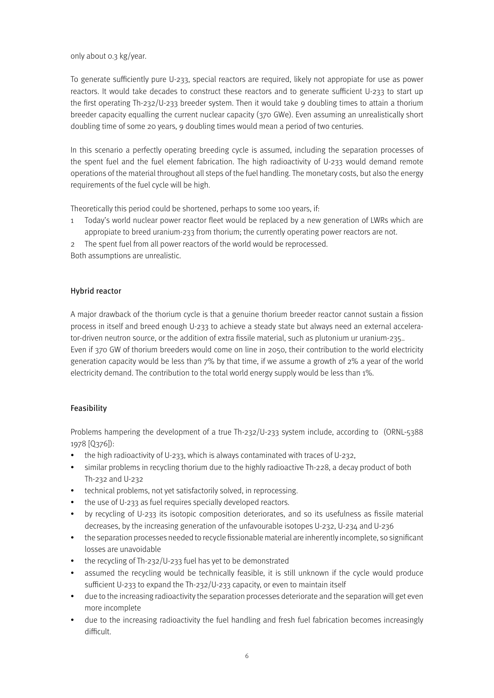only about 0.3 kg/year.

To generate sufficiently pure U-233, special reactors are required, likely not appropiate for use as power reactors. It would take decades to construct these reactors and to generate sufficient U-233 to start up the first operating Th-232/U-233 breeder system. Then it would take 9 doubling times to attain a thorium breeder capacity equalling the current nuclear capacity (370 GWe). Even assuming an unrealistically short doubling time of some 20 years, 9 doubling times would mean a period of two centuries.

In this scenario a perfectly operating breeding cycle is assumed, including the separation processes of the spent fuel and the fuel element fabrication. The high radioactivity of U-233 would demand remote operations of the material throughout all steps of the fuel handling. The monetary costs, but also the energy requirements of the fuel cycle will be high.

Theoretically this period could be shortened, perhaps to some 100 years, if:

1 Today's world nuclear power reactor fleet would be replaced by a new generation of LWRs which are appropiate to breed uranium-233 from thorium; the currently operating power reactors are not.

2 The spent fuel from all power reactors of the world would be reprocessed. Both assumptions are unrealistic.

## Hybrid reactor

A major drawback of the thorium cycle is that a genuine thorium breeder reactor cannot sustain a fission process in itself and breed enough U-233 to achieve a steady state but always need an external accelerator-driven neutron source, or the addition of extra fissile material, such as plutonium ur uranium-235.. Even if 370 GW of thorium breeders would come on line in 2050, their contribution to the world electricity generation capacity would be less than 7% by that time, if we assume a growth of 2% a year of the world electricity demand. The contribution to the total world energy supply would be less than 1%.

## Feasibility

Problems hampering the development of a true Th-232/U-233 system include, according to (ORNL-5388 1978 [Q376]):

- the high radioactivity of U-233, which is always contaminated with traces of U-232,
- similar problems in recycling thorium due to the highly radioactive Th-228, a decay product of both Th-232 and U-232
- technical problems, not yet satisfactorily solved, in reprocessing.
- the use of U-233 as fuel requires specially developed reactors.
- by recycling of U-233 its isotopic composition deteriorates, and so its usefulness as fissile material decreases, by the increasing generation of the unfavourable isotopes U-232, U-234 and U-236
- the separation processes needed to recycle fissionable material are inherently incomplete, so significant losses are unavoidable
- the recycling of Th-232/U-233 fuel has yet to be demonstrated
- assumed the recycling would be technically feasible, it is still unknown if the cycle would produce sufficient U-233 to expand the Th-232/U-233 capacity, or even to maintain itself
- due to the increasing radioactivity the separation processes deteriorate and the separation will get even more incomplete
- due to the increasing radioactivity the fuel handling and fresh fuel fabrication becomes increasingly difficult.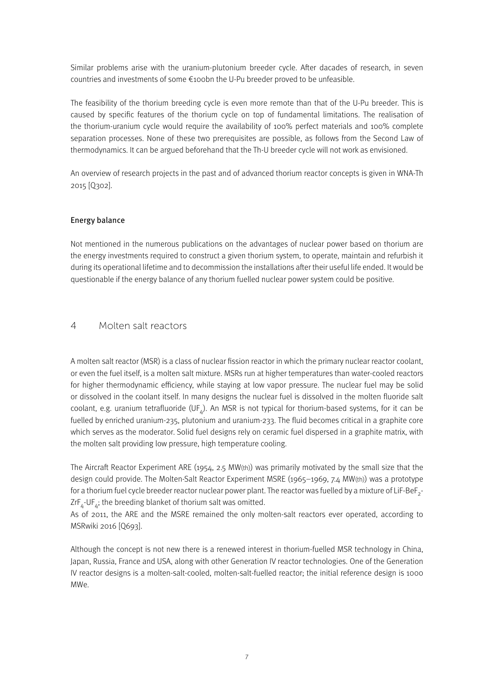Similar problems arise with the uranium-plutonium breeder cycle. After dacades of research, in seven countries and investments of some €100bn the U-Pu breeder proved to be unfeasible.

The feasibility of the thorium breeding cycle is even more remote than that of the U-Pu breeder. This is caused by specific features of the thorium cycle on top of fundamental limitations. The realisation of the thorium-uranium cycle would require the availability of 100% perfect materials and 100% complete separation processes. None of these two prerequisites are possible, as follows from the Second Law of thermodynamics. It can be argued beforehand that the Th-U breeder cycle will not work as envisioned.

An overview of research projects in the past and of advanced thorium reactor concepts is given in WNA-Th 2015 [Q302].

#### Energy balance

Not mentioned in the numerous publications on the advantages of nuclear power based on thorium are the energy investments required to construct a given thorium system, to operate, maintain and refurbish it during its operational lifetime and to decommission the installations after their useful life ended. It would be questionable if the energy balance of any thorium fuelled nuclear power system could be positive.

## 4 Molten salt reactors

A molten salt reactor (MSR) is a class of nuclear fission reactor in which the primary nuclear reactor coolant, or even the fuel itself, is a molten salt mixture. MSRs run at higher temperatures than water-cooled reactors for higher thermodynamic efficiency, while staying at low vapor pressure. The nuclear fuel may be solid or dissolved in the coolant itself. In many designs the nuclear fuel is dissolved in the molten fluoride salt coolant, e.g. uranium tetrafluoride (UF $_{a}$ ). An MSR is not typical for thorium-based systems, for it can be fuelled by enriched uranium-235, plutonium and uranium-233. The fluid becomes critical in a graphite core which serves as the moderator. Solid fuel designs rely on ceramic fuel dispersed in a graphite matrix, with the molten salt providing low pressure, high temperature cooling.

The Aircraft Reactor Experiment ARE (1954, 2.5 MW(th)) was primarily motivated by the small size that the design could provide. The Molten-Salt Reactor Experiment MSRE (1965–1969, 7.4 MW(th)) was a prototype for a thorium fuel cycle breeder reactor nuclear power plant. The reactor was fuelled by a mixture of LiF-BeF<sub>2</sub>- $ZrF_A$ -UF<sub>A</sub>; the breeding blanket of thorium salt was omitted.

As of 2011, the ARE and the MSRE remained the only molten-salt reactors ever operated, according to MSRwiki 2016 [Q693].

Although the concept is not new there is a renewed interest in thorium-fuelled MSR technology in China, Japan, Russia, France and USA, along with other Generation IV reactor technologies. One of the Generation IV reactor designs is a molten-salt-cooled, molten-salt-fuelled reactor; the initial reference design is 1000 MWe.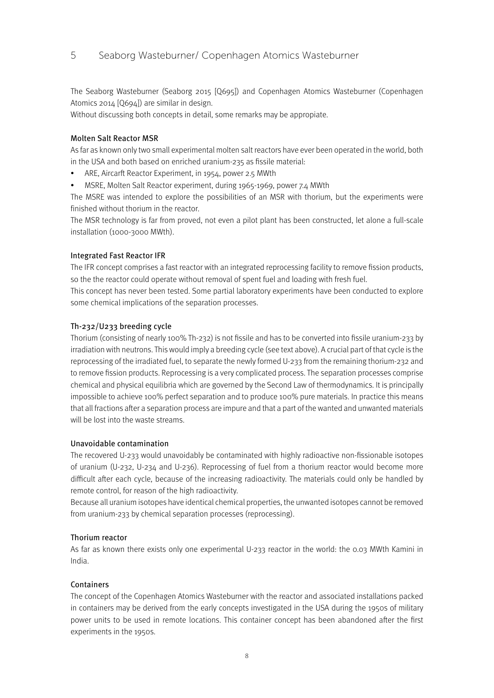# 5 Seaborg Wasteburner/ Copenhagen Atomics Wasteburner

The Seaborg Wasteburner (Seaborg 2015 [Q695]) and Copenhagen Atomics Wasteburner (Copenhagen Atomics 2014 [Q694]) are similar in design.

Without discussing both concepts in detail, some remarks may be appropiate.

#### Molten Salt Reactor MSR

As far as known only two small experimental molten salt reactors have ever been operated in the world, both in the USA and both based on enriched uranium-235 as fissile material:

- ARE, Aircarft Reactor Experiment, in 1954, power 2.5 MWth
- MSRE, Molten Salt Reactor experiment, during 1965-1969, power 7.4 MWth

The MSRE was intended to explore the possibilities of an MSR with thorium, but the experiments were finished without thorium in the reactor.

The MSR technology is far from proved, not even a pilot plant has been constructed, let alone a full-scale installation (1000-3000 MWth).

#### Integrated Fast Reactor IFR

The IFR concept comprises a fast reactor with an integrated reprocessing facility to remove fission products, so the the reactor could operate without removal of spent fuel and loading with fresh fuel.

This concept has never been tested. Some partial laboratory experiments have been conducted to explore some chemical implications of the separation processes.

#### Th-232/U233 breeding cycle

Thorium (consisting of nearly 100% Th-232) is not fissile and has to be converted into fissile uranium-233 by irradiation with neutrons. This would imply a breeding cycle (see text above). A crucial part of that cycle is the reprocessing of the irradiated fuel, to separate the newly formed U-233 from the remaining thorium-232 and to remove fission products. Reprocessing is a very complicated process. The separation processes comprise chemical and physical equilibria which are governed by the Second Law of thermodynamics. It is principally impossible to achieve 100% perfect separation and to produce 100% pure materials. In practice this means that all fractions after a separation process are impure and that a part of the wanted and unwanted materials will be lost into the waste streams.

## Unavoidable contamination

The recovered U-233 would unavoidably be contaminated with highly radioactive non-fissionable isotopes of uranium (U-232, U-234 and U-236). Reprocessing of fuel from a thorium reactor would become more difficult after each cycle, because of the increasing radioactivity. The materials could only be handled by remote control, for reason of the high radioactivity.

Because all uranium isotopes have identical chemical properties, the unwanted isotopes cannot be removed from uranium-233 by chemical separation processes (reprocessing).

#### Thorium reactor

As far as known there exists only one experimental U-233 reactor in the world: the 0.03 MWth Kamini in India.

#### Containers

The concept of the Copenhagen Atomics Wasteburner with the reactor and associated installations packed in containers may be derived from the early concepts investigated in the USA during the 1950s of military power units to be used in remote locations. This container concept has been abandoned after the first experiments in the 1950s.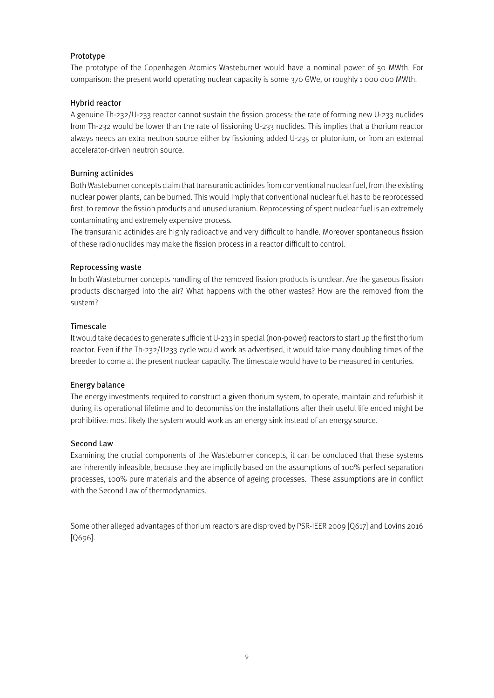## Prototype

The prototype of the Copenhagen Atomics Wasteburner would have a nominal power of 50 MWth. For comparison: the present world operating nuclear capacity is some 370 GWe, or roughly 1 000 000 MWth.

## Hybrid reactor

A genuine Th-232/U-233 reactor cannot sustain the fission process: the rate of forming new U-233 nuclides from Th-232 would be lower than the rate of fissioning U-233 nuclides. This implies that a thorium reactor always needs an extra neutron source either by fissioning added U-235 or plutonium, or from an external accelerator-driven neutron source.

## Burning actinides

Both Wasteburner concepts claim that transuranic actinides from conventional nuclear fuel, from the existing nuclear power plants, can be burned. This would imply that conventional nuclear fuel has to be reprocessed first, to remove the fission products and unused uranium. Reprocessing of spent nuclear fuel is an extremely contaminating and extremely expensive process.

The transuranic actinides are highly radioactive and very difficult to handle. Moreover spontaneous fission of these radionuclides may make the fission process in a reactor difficult to control.

## Reprocessing waste

In both Wasteburner concepts handling of the removed fission products is unclear. Are the gaseous fission products discharged into the air? What happens with the other wastes? How are the removed from the sustem?

## Timescale

It would take decades to generate sufficient U-233 in special (non-power) reactors to start up the first thorium reactor. Even if the Th-232/U233 cycle would work as advertised, it would take many doubling times of the breeder to come at the present nuclear capacity. The timescale would have to be measured in centuries.

#### Energy balance

The energy investments required to construct a given thorium system, to operate, maintain and refurbish it during its operational lifetime and to decommission the installations after their useful life ended might be prohibitive: most likely the system would work as an energy sink instead of an energy source.

#### Second Law

Examining the crucial components of the Wasteburner concepts, it can be concluded that these systems are inherently infeasible, because they are implictly based on the assumptions of 100% perfect separation processes, 100% pure materials and the absence of ageing processes. These assumptions are in conflict with the Second Law of thermodynamics.

Some other alleged advantages of thorium reactors are disproved by PSR-IEER 2009 [Q617] and Lovins 2016 [Q696].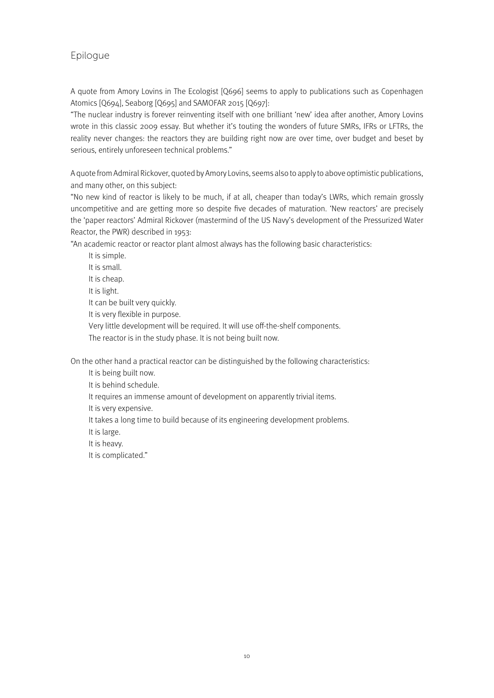# Epilogue

A quote from Amory Lovins in The Ecologist [Q696] seems to apply to publications such as Copenhagen Atomics [Q694], Seaborg [Q695] and SAMOFAR 2015 [Q697]:

"The nuclear industry is forever reinventing itself with one brilliant 'new' idea after another, Amory Lovins wrote in this classic 2009 essay. But whether it's touting the wonders of future SMRs, IFRs or LFTRs, the reality never changes: the reactors they are building right now are over time, over budget and beset by serious, entirely unforeseen technical problems."

A quote from Admiral Rickover, quoted by Amory Lovins, seems also to apply to above optimistic publications, and many other, on this subject:

"No new kind of reactor is likely to be much, if at all, cheaper than today's LWRs, which remain grossly uncompetitive and are getting more so despite five decades of maturation. 'New reactors' are precisely the 'paper reactors' Admiral Rickover (mastermind of the US Navy's development of the Pressurized Water Reactor, the PWR) described in 1953:

"An academic reactor or reactor plant almost always has the following basic characteristics:

It is simple.

It is small. It is cheap.

It is light.

It can be built very quickly.

It is very flexible in purpose.

Very little development will be required. It will use off-the-shelf components.

The reactor is in the study phase. It is not being built now.

On the other hand a practical reactor can be distinguished by the following characteristics:

It is being built now.

It is behind schedule.

It requires an immense amount of development on apparently trivial items.

It is very expensive.

It takes a long time to build because of its engineering development problems.

It is large.

It is heavy.

It is complicated."